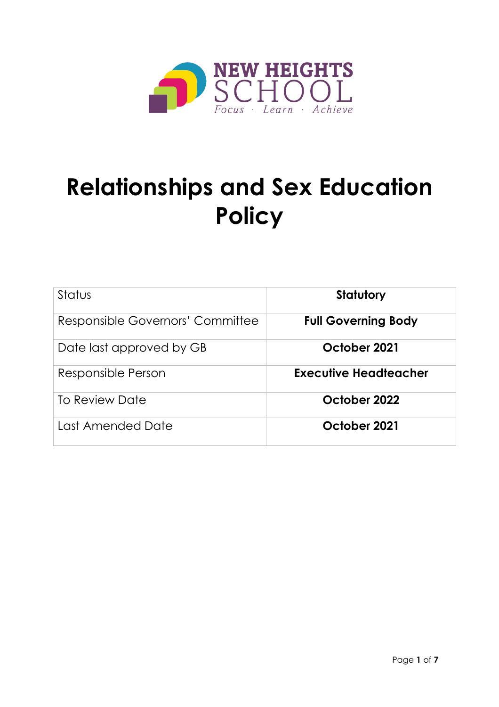

# **Relationships and Sex Education Policy**

| Status                           | <b>Statutory</b>           |
|----------------------------------|----------------------------|
| Responsible Governors' Committee | <b>Full Governing Body</b> |
| Date last approved by GB         | October 2021               |
| Responsible Person               | Executive Headteacher      |
| To Review Date                   | October 2022               |
| Last Amended Date                | October 2021               |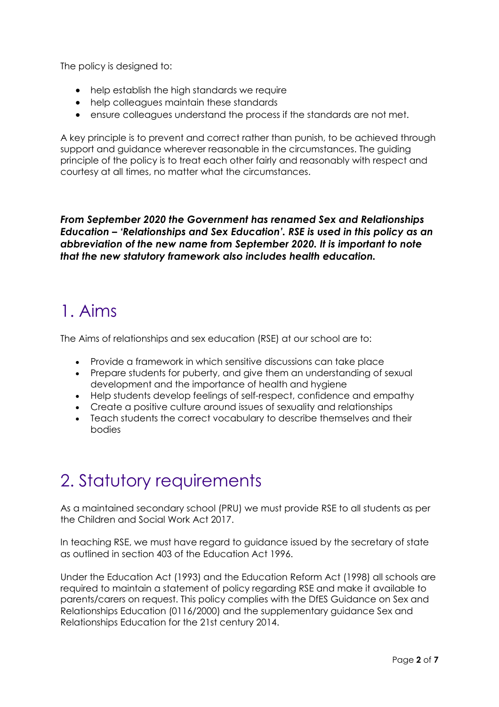The policy is designed to:

- help establish the high standards we require
- help colleagues maintain these standards
- ensure colleagues understand the process if the standards are not met.

A key principle is to prevent and correct rather than punish, to be achieved through support and guidance wherever reasonable in the circumstances. The guiding principle of the policy is to treat each other fairly and reasonably with respect and courtesy at all times, no matter what the circumstances.

*From September 2020 the Government has renamed Sex and Relationships Education – 'Relationships and Sex Education'. RSE is used in this policy as an abbreviation of the new name from September 2020. It is important to note that the new statutory framework also includes health education.*

### 1. Aims

The Aims of relationships and sex education (RSE) at our school are to:

- Provide a framework in which sensitive discussions can take place
- Prepare students for puberty, and give them an understanding of sexual development and the importance of health and hygiene
- Help students develop feelings of self-respect, confidence and empathy
- Create a positive culture around issues of sexuality and relationships
- Teach students the correct vocabulary to describe themselves and their bodies

# 2. Statutory requirements

As a maintained secondary school (PRU) we must provide RSE to all students as per the Children and Social Work Act 2017.

In teaching RSE, we must have regard to guidance issued by the secretary of state as outlined in section 403 of the Education Act 1996.

Under the Education Act (1993) and the Education Reform Act (1998) all schools are required to maintain a statement of policy regarding RSE and make it available to parents/carers on request. This policy complies with the DfES Guidance on Sex and Relationships Education (0116/2000) and the supplementary guidance Sex and Relationships Education for the 21st century 2014.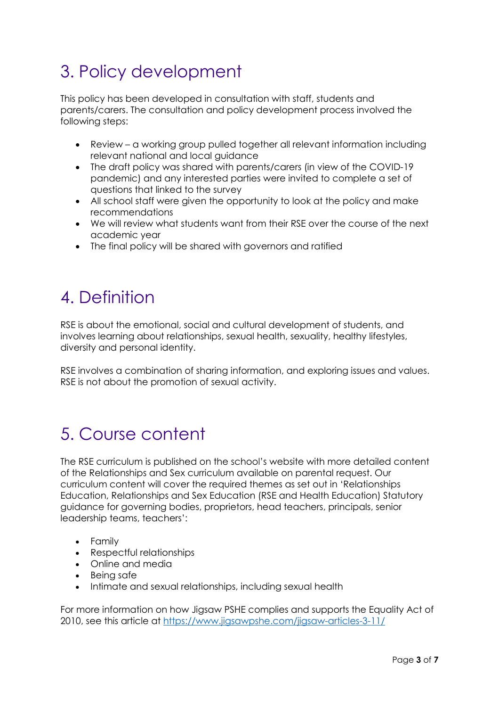# 3. Policy development

This policy has been developed in consultation with staff, students and parents/carers. The consultation and policy development process involved the following steps:

- Review a working group pulled together all relevant information including relevant national and local guidance
- The draft policy was shared with parents/carers (in view of the COVID-19 pandemic) and any interested parties were invited to complete a set of questions that linked to the survey
- All school staff were given the opportunity to look at the policy and make recommendations
- We will review what students want from their RSE over the course of the next academic year
- The final policy will be shared with governors and ratified

### 4. Definition

RSE is about the emotional, social and cultural development of students, and involves learning about relationships, sexual health, sexuality, healthy lifestyles, diversity and personal identity.

RSE involves a combination of sharing information, and exploring issues and values. RSE is not about the promotion of sexual activity.

### 5. Course content

The RSE curriculum is published on the school's website with more detailed content of the Relationships and Sex curriculum available on parental request. Our curriculum content will cover the required themes as set out in 'Relationships Education, Relationships and Sex Education (RSE and Health Education) Statutory guidance for governing bodies, proprietors, head teachers, principals, senior leadership teams, teachers':

- Family
- Respectful relationships
- Online and media
- Being safe
- Intimate and sexual relationships, including sexual health

For more information on how Jigsaw PSHE complies and supports the Equality Act of 2010, see this article at<https://www.jigsawpshe.com/jigsaw-articles-3-11/>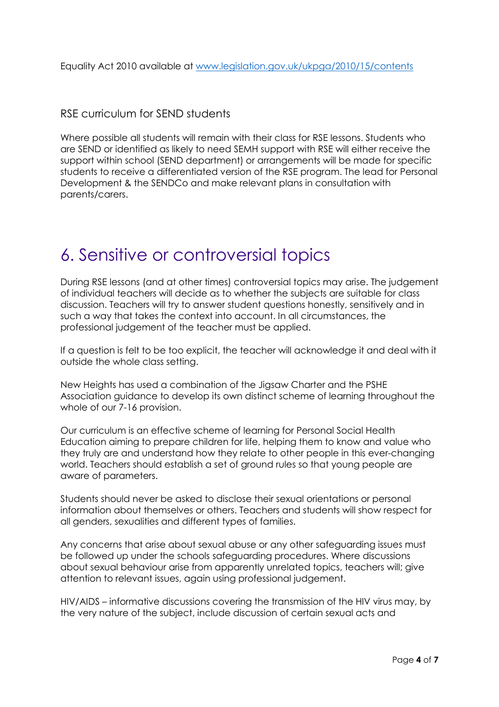Equality Act 2010 available at [www.legislation.gov.uk/ukpga/2010/15/contents](http://www.legislation.gov.uk/ukpga/2010/15/contents)

#### RSE curriculum for SEND students

Where possible all students will remain with their class for RSE lessons. Students who are SEND or identified as likely to need SEMH support with RSE will either receive the support within school (SEND department) or arrangements will be made for specific students to receive a differentiated version of the RSE program. The lead for Personal Development & the SENDCo and make relevant plans in consultation with parents/carers.

#### 6. Sensitive or controversial topics

During RSE lessons (and at other times) controversial topics may arise. The judgement of individual teachers will decide as to whether the subjects are suitable for class discussion. Teachers will try to answer student questions honestly, sensitively and in such a way that takes the context into account. In all circumstances, the professional judgement of the teacher must be applied.

If a question is felt to be too explicit, the teacher will acknowledge it and deal with it outside the whole class setting.

New Heights has used a combination of the Jigsaw Charter and the PSHE Association guidance to develop its own distinct scheme of learning throughout the whole of our 7-16 provision.

Our curriculum is an effective scheme of learning for Personal Social Health Education aiming to prepare children for life, helping them to know and value who they truly are and understand how they relate to other people in this ever-changing world. Teachers should establish a set of ground rules so that young people are aware of parameters.

Students should never be asked to disclose their sexual orientations or personal information about themselves or others. Teachers and students will show respect for all genders, sexualities and different types of families.

Any concerns that arise about sexual abuse or any other safeguarding issues must be followed up under the schools safeguarding procedures. Where discussions about sexual behaviour arise from apparently unrelated topics, teachers will; give attention to relevant issues, again using professional judgement.

HIV/AIDS – informative discussions covering the transmission of the HIV virus may, by the very nature of the subject, include discussion of certain sexual acts and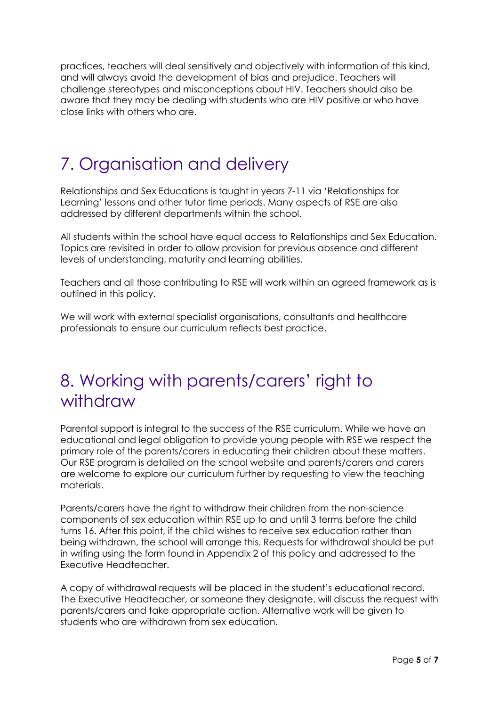practices, teachers will deal sensitively and objectively with information of this kind, and will always avoid the development of bias and prejudice. Teachers will challenge stereotypes and misconceptions about HIV. Teachers should also be aware that they may be dealing with students who are HIV positive or who have close links with others who are.

# 7. Organisation and delivery

Relationships and Sex Educations is taught in years 7-11 via 'Relationships for Learning' lessons and other tutor time periods. Many aspects of RSE are also addressed by different departments within the school.

All students within the school have equal access to Relationships and Sex Education. Topics are revisited in order to allow provision for previous absence and different levels of understanding, maturity and learning abilities.

Teachers and all those contributing to RSE will work within an agreed framework as is outlined in this policy.

We will work with external specialist organisations, consultants and healthcare professionals to ensure our curriculum reflects best practice.

### 8. Working with parents/carers' right to withdraw

Parental support is integral to the success of the RSE curriculum. While we have an educational and legal obligation to provide young people with RSE we respect the primary role of the parents/carers in educating their children about these matters. Our RSE program is detailed on the school website and parents/carers and carers are welcome to explore our curriculum further by requesting to view the teaching materials.

Parents/carers have the right to withdraw their children from the non-science components of sex education within RSE up to and until 3 terms before the child turns 16. After this point, if the child wishes to receive sex education rather than being withdrawn, the school will arrange this. Requests for withdrawal should be put in writing using the form found in Appendix 2 of this policy and addressed to the Executive Headteacher.

A copy of withdrawal requests will be placed in the student's educational record. The Executive Headteacher, or someone they designate, will discuss the request with parents/carers and take appropriate action. Alternative work will be given to students who are withdrawn from sex education.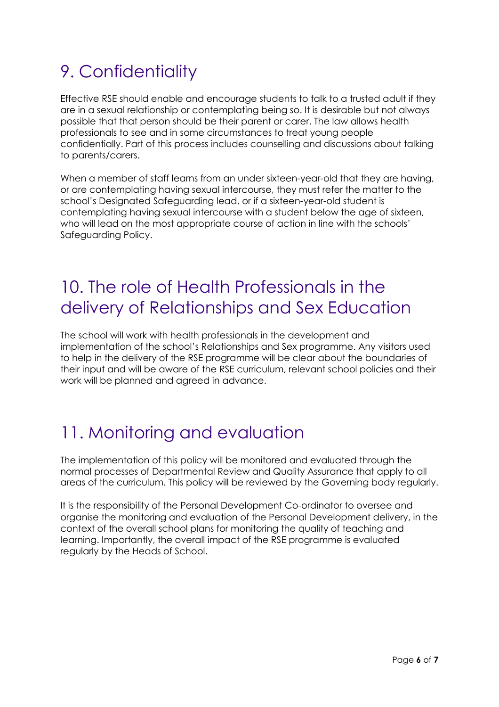# 9. Confidentiality

Effective RSE should enable and encourage students to talk to a trusted adult if they are in a sexual relationship or contemplating being so. It is desirable but not always possible that that person should be their parent or carer. The law allows health professionals to see and in some circumstances to treat young people confidentially. Part of this process includes counselling and discussions about talking to parents/carers.

When a member of staff learns from an under sixteen-year-old that they are having, or are contemplating having sexual intercourse, they must refer the matter to the school's Designated Safeguarding lead, or if a sixteen-year-old student is contemplating having sexual intercourse with a student below the age of sixteen, who will lead on the most appropriate course of action in line with the schools' Safeguarding Policy.

### 10. The role of Health Professionals in the delivery of Relationships and Sex Education

The school will work with health professionals in the development and implementation of the school's Relationships and Sex programme. Any visitors used to help in the delivery of the RSE programme will be clear about the boundaries of their input and will be aware of the RSE curriculum, relevant school policies and their work will be planned and agreed in advance.

# 11. Monitoring and evaluation

The implementation of this policy will be monitored and evaluated through the normal processes of Departmental Review and Quality Assurance that apply to all areas of the curriculum. This policy will be reviewed by the Governing body regularly.

It is the responsibility of the Personal Development Co-ordinator to oversee and organise the monitoring and evaluation of the Personal Development delivery, in the context of the overall school plans for monitoring the quality of teaching and learning. Importantly, the overall impact of the RSE programme is evaluated regularly by the Heads of School.